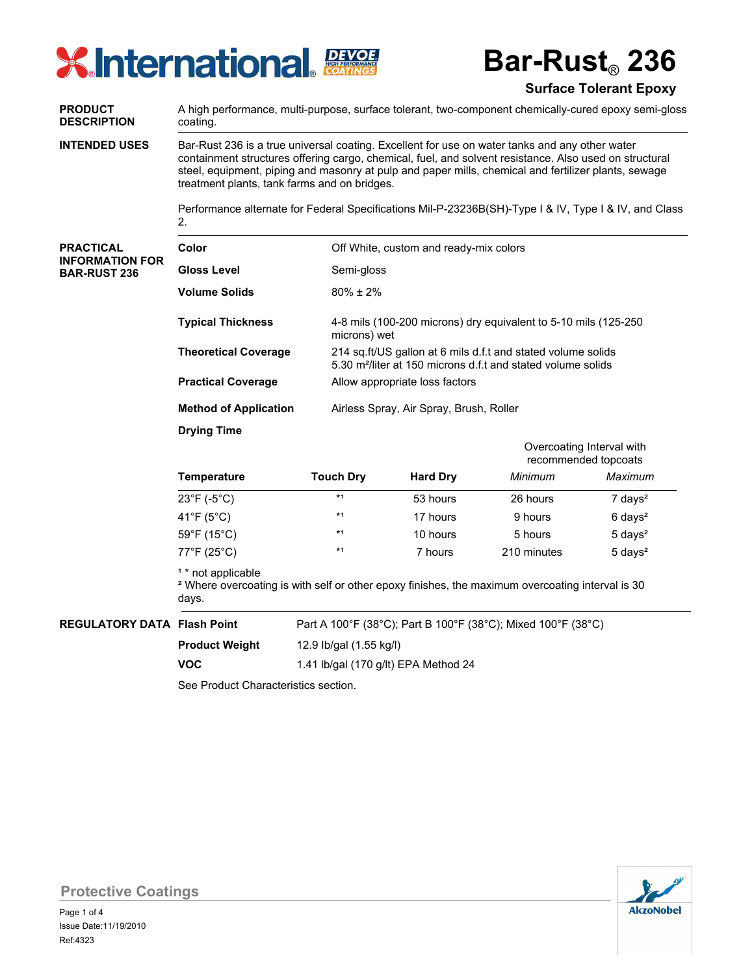# **X** International FOATINGS

**Bar-Rust**® **236**

### **Surface Tolerant Epoxy**

A high performance, multi-purpose, surface tolerant, two-component chemically-cured epoxy semi-gloss coating. **PRODUCT DESCRIPTION** Bar-Rust 236 is a true universal coating. Excellent for use on water tanks and any other water containment structures offering cargo, chemical, fuel, and solvent resistance. Also used on structural steel, equipment, piping and masonry at pulp and paper mills, chemical and fertilizer plants, sewage treatment plants, tank farms and on bridges. Performance alternate for Federal Specifications Mil-P-23236B(SH)-Type I & IV, Type I & IV, and Class 2. **INTENDED USES** Off White, custom and ready-mix colors Semi-gloss 80% ± 2% 4-8 mils (100-200 microns) dry equivalent to 5-10 mils (125-250 microns) wet 214 sq.ft/US gallon at 6 mils d.f.t and stated volume solids 5.30 m²/liter at 150 microns d.f.t and stated volume solids Allow appropriate loss factors Airless Spray, Air Spray, Brush, Roller **PRACTICAL INFORMATION FOR BAR-RUST 236 Color Gloss Level Volume Solids Typical Thickness Theoretical Coverage Practical Coverage Method of Application Drying Time Temperature Touch Dry Hard Dry** *Minimum Maximum* <sup>1</sup> \* not applicable ² Where overcoating is with self or other epoxy finishes, the maximum overcoating interval is 30 days. Overcoating Interval with recommended topcoats  $23^{\circ}$ F (-5 $^{\circ}$ C)  $\rightarrow$   $*$ <sup>1</sup> 53 hours 26 hours 7 days<sup>2</sup> 41°F (5°C) \*<sup>1</sup> 17 hours 9 hours 6 days<sup>2</sup>  $59^{\circ}F (15^{\circ}C)$  \*1 10 hours 5 hours 5 days<sup>2</sup>  $77^{\circ}$ F (25°C)  $*$ <sup>1</sup> 7 hours 210 minutes 5 days<sup>2</sup>

**REGULATORY DATA Flash Point**

**VOC**

Part A 100°F (38°C); Part B 100°F (38°C); Mixed 100°F (38°C)

12.9 Ib/gal (1.55 kg/l) **Product Weight**

1.41 lb/gal (170 g/lt) EPA Method 24

See Product Characteristics section.



**Protective Coatings**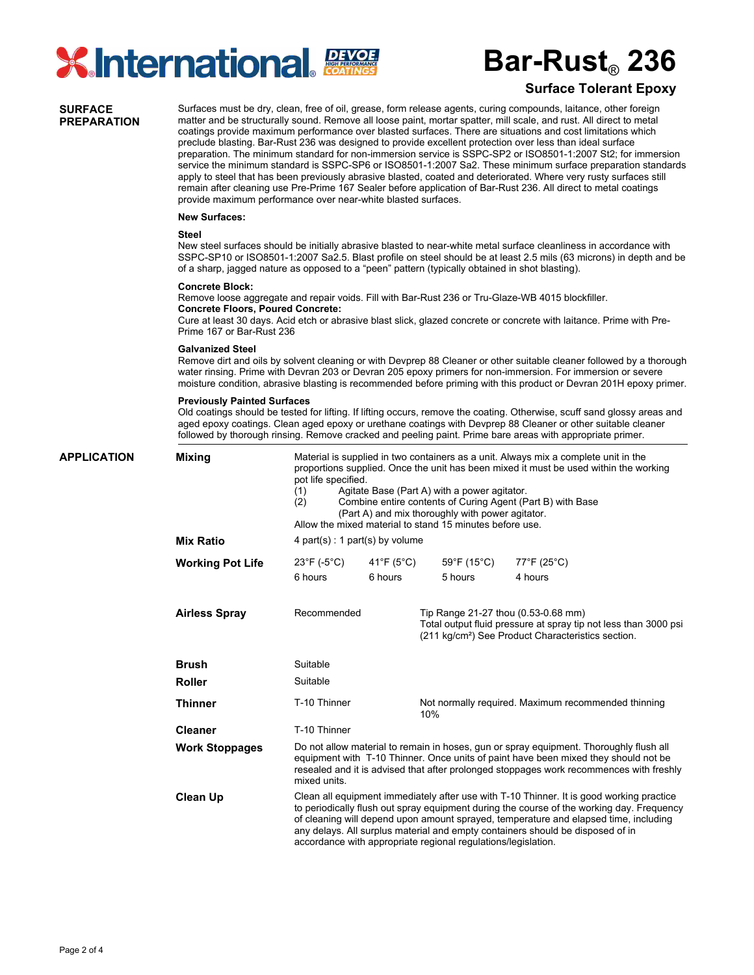

## **Bar-Rust**® **236**

### **Surface Tolerant Epoxy**

#### **SURFACE PREPARATION**

Surfaces must be dry, clean, free of oil, grease, form release agents, curing compounds, laitance, other foreign matter and be structurally sound. Remove all loose paint, mortar spatter, mill scale, and rust. All direct to metal coatings provide maximum performance over blasted surfaces. There are situations and cost limitations which preclude blasting. Bar-Rust 236 was designed to provide excellent protection over less than ideal surface preparation. The minimum standard for non-immersion service is SSPC-SP2 or ISO8501-1:2007 St2; for immersion service the minimum standard is SSPC-SP6 or ISO8501-1:2007 Sa2. These minimum surface preparation standards apply to steel that has been previously abrasive blasted, coated and deteriorated. Where very rusty surfaces still remain after cleaning use Pre-Prime 167 Sealer before application of Bar-Rust 236. All direct to metal coatings provide maximum performance over near-white blasted surfaces.

#### **New Surfaces:**

#### **Steel**

New steel surfaces should be initially abrasive blasted to near-white metal surface cleanliness in accordance with SSPC-SP10 or ISO8501-1:2007 Sa2.5. Blast profile on steel should be at least 2.5 mils (63 microns) in depth and be of a sharp, jagged nature as opposed to a "peen" pattern (typically obtained in shot blasting).

#### **Concrete Block:**

Remove loose aggregate and repair voids. Fill with Bar-Rust 236 or Tru-Glaze-WB 4015 blockfiller. **Concrete Floors, Poured Concrete:**

Cure at least 30 days. Acid etch or abrasive blast slick, glazed concrete or concrete with laitance. Prime with Pre-Prime 167 or Bar-Rust 236

#### **Galvanized Steel**

Remove dirt and oils by solvent cleaning or with Devprep 88 Cleaner or other suitable cleaner followed by a thorough water rinsing. Prime with Devran 203 or Devran 205 epoxy primers for non-immersion. For immersion or severe moisture condition, abrasive blasting is recommended before priming with this product or Devran 201H epoxy primer.

#### **Previously Painted Surfaces**

Old coatings should be tested for lifting. If lifting occurs, remove the coating. Otherwise, scuff sand glossy areas and aged epoxy coatings. Clean aged epoxy or urethane coatings with Devprep 88 Cleaner or other suitable cleaner followed by thorough rinsing. Remove cracked and peeling paint. Prime bare areas with appropriate primer.

Material is supplied in two containers as a unit. Always mix a complete unit in the proportions supplied. Once the unit has been mixed it must be used within the working pot life specified. (1) Agitate Base (Part A) with a power agitator. (2) Combine entire contents of Curing Agent (Part B) with Base (Part A) and mix thoroughly with power agitator. Allow the mixed material to stand 15 minutes before use. 4 part(s) : 1 part(s) by volume Suitable Suitable T-10 Thinner T-10 Thinner Do not allow material to remain in hoses, gun or spray equipment. Thoroughly flush all equipment with T-10 Thinner. Once units of paint have been mixed they should not be resealed and it is advised that after prolonged stoppages work recommences with freshly mixed units. Clean all equipment immediately after use with T-10 Thinner. It is good working practice to periodically flush out spray equipment during the course of the working day. Frequency of cleaning will depend upon amount sprayed, temperature and elapsed time, including any delays. All surplus material and empty containers should be disposed of in accordance with appropriate regional regulations/legislation. Not normally required. Maximum recommended thinning 10% Recommended Tip Range 21-27 thou (0.53-0.68 mm) Total output fluid pressure at spray tip not less than 3000 psi (211 kg/cm²) See Product Characteristics section. **APPLICATION Mixing Mix Ratio Working Pot Life Airless Spray Brush Roller Thinner Cleaner Work Stoppages Clean Up** 23°F (-5°C) 41°F (5°C) 59°F (15°C) 77°F (25°C) 6 hours 6 hours 5 hours 4 hours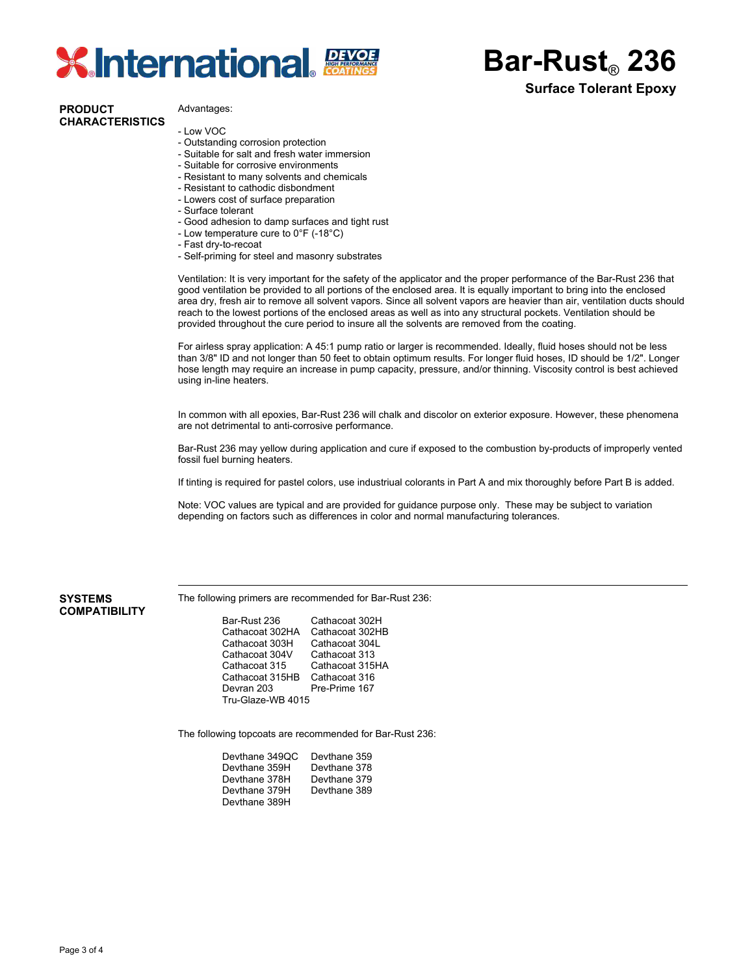# **XInternational BEVOLE**

#### **PRODUCT CHARACTERISTICS**

#### Advantages:

- Low VOC
- Outstanding corrosion protection
- Suitable for salt and fresh water immersion
- Suitable for corrosive environments
- Resistant to many solvents and chemicals
- Resistant to cathodic disbondment
- Lowers cost of surface preparation
- Surface tolerant
- Good adhesion to damp surfaces and tight rust
- Low temperature cure to 0°F (-18°C)
- Fast dry-to-recoat
- Self-priming for steel and masonry substrates

Ventilation: It is very important for the safety of the applicator and the proper performance of the Bar-Rust 236 that good ventilation be provided to all portions of the enclosed area. It is equally important to bring into the enclosed area dry, fresh air to remove all solvent vapors. Since all solvent vapors are heavier than air, ventilation ducts should reach to the lowest portions of the enclosed areas as well as into any structural pockets. Ventilation should be provided throughout the cure period to insure all the solvents are removed from the coating.

**Bar-Rust**® **236**

**Surface Tolerant Epoxy**

For airless spray application: A 45:1 pump ratio or larger is recommended. Ideally, fluid hoses should not be less than 3/8" ID and not longer than 50 feet to obtain optimum results. For longer fluid hoses, ID should be 1/2". Longer hose length may require an increase in pump capacity, pressure, and/or thinning. Viscosity control is best achieved using in-line heaters.

In common with all epoxies, Bar-Rust 236 will chalk and discolor on exterior exposure. However, these phenomena are not detrimental to anti-corrosive performance.

Bar-Rust 236 may yellow during application and cure if exposed to the combustion by-products of improperly vented fossil fuel burning heaters.

If tinting is required for pastel colors, use industriual colorants in Part A and mix thoroughly before Part B is added.

Note: VOC values are typical and are provided for guidance purpose only. These may be subject to variation depending on factors such as differences in color and normal manufacturing tolerances.

#### **SYSTEMS COMPATIBILITY**

The following primers are recommended for Bar-Rust 236:

Bar-Rust 236 Cathacoat 302H<br>Cathacoat 302HA Cathacoat 302HB Cathacoat 302HA Cathacoat 302H<br>Cathacoat 303H Cathacoat 304L Cathacoat 303H Cathacoat 304V Cathacoat 313<br>Cathacoat 315 Cathacoat 315 Cathacoat 315HA Cathacoat 315HB Cathacoat 316<br>Devran 203 Pre-Prime 167 Pre-Prime 167 Tru-Glaze-WB 4015

The following topcoats are recommended for Bar-Rust 236:

| Devthane 349QC | Devthane 359 |
|----------------|--------------|
| Devthane 359H  | Devthane 378 |
| Devthane 378H  | Devthane 379 |
| Devthane 379H  | Devthane 389 |
| Devthane 389H  |              |